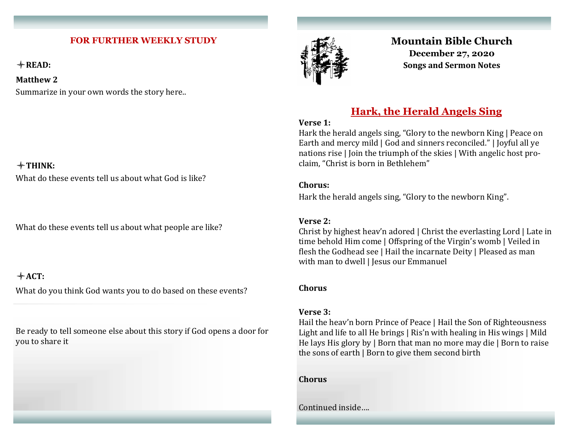#### **FOR FURTHER WEEKLY STUDY**

**READ:** 

**Matthew 2**

Summarize in your own words the story here..

### **THINK:**

What do these events tell us about what God is like?

What do these events tell us about what people are like?

### **ACT:**

What do you think God wants you to do based on these events?

Be ready to tell someone else about this story if God opens a door for you to share it



## **Mountain Bible Church December 27, 2020 Songs and Sermon Notes**

# **Hark, the Herald Angels Sing**

#### **Verse 1:**

Hark the herald angels sing, "Glory to the newborn King | Peace on Earth and mercy mild | God and sinners reconciled." | Joyful all ye nations rise | Join the triumph of the skies | With angelic host proclaim, "Christ is born in Bethlehem"

#### **Chorus:**

Hark the herald angels sing, "Glory to the newborn King".

#### **Verse 2:**

Christ by highest heav'n adored | Christ the everlasting Lord | Late in time behold Him come | Offspring of the Virgin's womb | Veiled in flesh the Godhead see | Hail the incarnate Deity | Pleased as man with man to dwell | Jesus our Emmanuel

#### **Chorus**

#### **Verse 3:**

Hail the heav'n born Prince of Peace | Hail the Son of Righteousness Light and life to all He brings | Ris'n with healing in His wings | Mild He lays His glory by | Born that man no more may die | Born to raise the sons of earth | Born to give them second birth

**Chorus**

Continued inside….